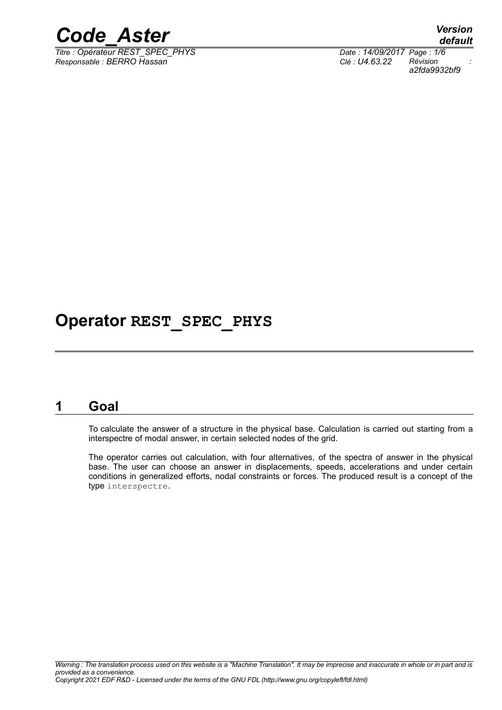

*Titre : Opérateur REST\_SPEC\_PHYS Date : 14/09/2017 Page : 1/6 Responsable : BERRO Hassan Clé : U4.63.22 Révision :*

*default a2fda9932bf9*

## **Operator REST\_SPEC\_PHYS**

## **1 Goal**

To calculate the answer of a structure in the physical base. Calculation is carried out starting from a interspectre of modal answer, in certain selected nodes of the grid.

The operator carries out calculation, with four alternatives, of the spectra of answer in the physical base. The user can choose an answer in displacements, speeds, accelerations and under certain conditions in generalized efforts, nodal constraints or forces. The produced result is a concept of the type interspectre.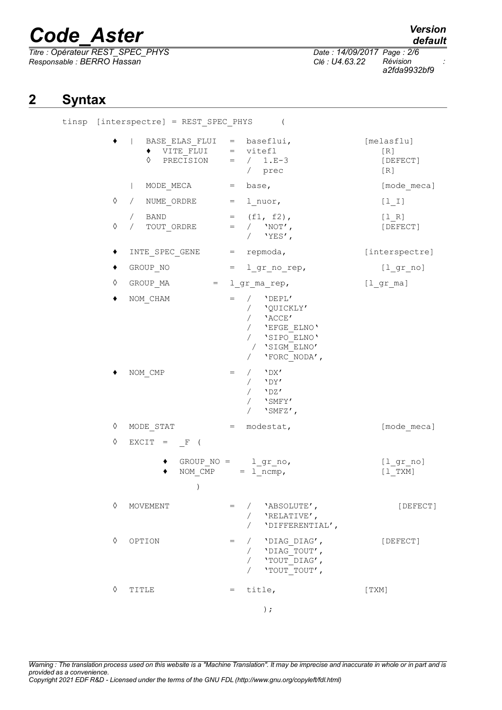*Titre : Opérateur REST\_SPEC\_PHYS Date : 14/09/2017 Page : 2/6 Responsable : BERRO Hassan Clé : U4.63.22 Révision :*

## *default*

*a2fda9932bf9*

## **2 Syntax**

tinsp

|   | [interspectre] = REST_SPEC_PHYS                                                                                                                                                                                                                                                                                                                                                                                                            | $\left($                                                                                                                             |                                      |
|---|--------------------------------------------------------------------------------------------------------------------------------------------------------------------------------------------------------------------------------------------------------------------------------------------------------------------------------------------------------------------------------------------------------------------------------------------|--------------------------------------------------------------------------------------------------------------------------------------|--------------------------------------|
|   | $\texttt{BASE\_ELAS\_FLUI} = \texttt{baseflui,}$<br>and the state<br>$\overline{V_1}$ $\overline{V_1}$ $\overline{F_1}$ $\overline{V_1}$ $\overline{V_2}$ $\overline{V_1}$ $\overline{F_2}$ $\overline{V_2}$ $\overline{V_1}$ $\overline{V_2}$ $\overline{V_2}$ $\overline{V_1}$ $\overline{V_2}$ $\overline{V_2}$ $\overline{V_1}$ $\overline{V_2}$ $\overline{V_2}$ $\overline{V_1}$ $\overline{V_2}$ $\overline{V_2}$<br>♦<br>PRECISION | = $/ 1.E-3$<br>/ prec                                                                                                                | [melasflu]<br>[R]<br>[DEFECT]<br>[R] |
|   | $\mathbf{L}$<br>MODE MECA $=$ base,                                                                                                                                                                                                                                                                                                                                                                                                        |                                                                                                                                      | [mode meca]                          |
| ♦ | / NUME ORDRE                                                                                                                                                                                                                                                                                                                                                                                                                               | $=$ 1 nuor,                                                                                                                          | $[1_1]$                              |
| ♦ | / BAND<br>/ TOUT ORDRE                                                                                                                                                                                                                                                                                                                                                                                                                     | $=$ (f1, f2),<br>$=$ / $'NOT'$ ,<br>/ $'YES'$ ,                                                                                      | $[1 R]$<br>[DEFECT]                  |
|   | $\texttt{INTE\_SPEC\_GENE} \qquad = \texttt{repmoda,}$                                                                                                                                                                                                                                                                                                                                                                                     |                                                                                                                                      | [interspectre]                       |
|   | GROUP NO                                                                                                                                                                                                                                                                                                                                                                                                                                   | $= 1 gr no rep,$                                                                                                                     | $[1_{gr\_no}]$                       |
| ♦ | GROUP MA $=$ $1 gr_{ma} rep$ ,                                                                                                                                                                                                                                                                                                                                                                                                             |                                                                                                                                      | $[1gr_m]$                            |
|   | NOM CHAM                                                                                                                                                                                                                                                                                                                                                                                                                                   | / $'$ $'$ DEPL'<br>$=$<br>/ 'QUICKLY'<br>$/$ 'ACCE'<br>/ 'EFGE_ELNO'<br>/ 'SIPO_ELNO'<br>/ 'SIGM ELNO'<br>'FORC NODA',<br>$\sqrt{2}$ |                                      |
|   | NOM CMP                                                                                                                                                                                                                                                                                                                                                                                                                                    | $/$ 'DX'<br>$=$<br>$\sqrt{2}$<br>$/$ 'DZ'<br>/ $'$ SMFY'<br>$\texttt{'SMEZ'}$ ,<br>$\sqrt{2}$                                        |                                      |
| ♦ | MODE STAT                                                                                                                                                                                                                                                                                                                                                                                                                                  | = modestat,                                                                                                                          | [mode meca]                          |
| ♦ | $EXCIT = F ($                                                                                                                                                                                                                                                                                                                                                                                                                              |                                                                                                                                      |                                      |
|   | $\mathcal{C}$                                                                                                                                                                                                                                                                                                                                                                                                                              | GROUP $NO =$ $lgr$ no,<br>NOM $\text{CMP} = 1 \text{ ncmp}$ ,                                                                        | $[1$ gr no]<br>$[1$ TXM]             |
| ♦ | MOVEMENT                                                                                                                                                                                                                                                                                                                                                                                                                                   | / 'ABSOLUTE',<br>$=$ $-$<br>'RELATIVE',<br>$\sqrt{2}$<br>'DIFFERENTIAL',<br>$\sqrt{2}$                                               | [DEFECT]                             |
| ♦ | OPTION                                                                                                                                                                                                                                                                                                                                                                                                                                     | / 'DIAG DIAG',<br>$=$<br>/ 'DIAG TOUT',<br>/ 'TOUT DIAG',<br>'TOUT TOUT',                                                            | [DEFECT]                             |
| ♦ | TITLE                                                                                                                                                                                                                                                                                                                                                                                                                                      | title,<br>$=$                                                                                                                        | [TXM]                                |
|   |                                                                                                                                                                                                                                                                                                                                                                                                                                            | $)$ ;                                                                                                                                |                                      |

*Warning : The translation process used on this website is a "Machine Translation". It may be imprecise and inaccurate in whole or in part and is provided as a convenience. Copyright 2021 EDF R&D - Licensed under the terms of the GNU FDL (http://www.gnu.org/copyleft/fdl.html)*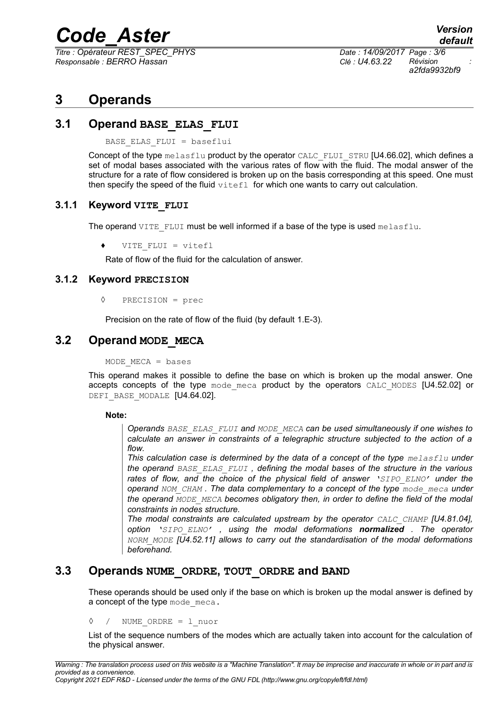*Titre : Opérateur REST\_SPEC\_PHYS Date : 14/09/2017 Page : 3/6 Responsable : BERRO Hassan Clé : U4.63.22 Révision :*

*a2fda9932bf9*

## **3 Operands**

#### **3.1 Operand BASE\_ELAS\_FLUI**

BASE\_ELAS\_FLUI = baseflui

Concept of the type melasflu product by the operator CALC\_FLUI\_STRU [U4.66.02], which defines a set of modal bases associated with the various rates of flow with the fluid. The modal answer of the structure for a rate of flow considered is broken up on the basis corresponding at this speed. One must then specify the speed of the fluid  $\text{virt}$  for which one wants to carry out calculation.

#### **3.1.1 Keyword VITE\_FLUI**

The operand VITE\_FLUI must be well informed if a base of the type is used melasflu.

VITE FLUI = vitefl

Rate of flow of the fluid for the calculation of answer.

#### **3.1.2 Keyword PRECISION**

◊ PRECISION = prec

Precision on the rate of flow of the fluid (by default 1.E-3).

### **3.2 Operand MODE\_MECA**

 $MODE$  MECA = bases

This operand makes it possible to define the base on which is broken up the modal answer. One accepts concepts of the type mode meca product by the operators CALC MODES [U4.52.02] or DEFI\_BASE\_MODALE [U4.64.02].

#### **Note:**

*Operands BASE\_ELAS\_FLUI and MODE\_MECA can be used simultaneously if one wishes to calculate an answer in constraints of a telegraphic structure subjected to the action of a flow.*

*This calculation case is determined by the data of a concept of the type melasflu under the operand BASE\_ELAS\_FLUI , defining the modal bases of the structure in the various rates of flow, and the choice of the physical field of answer 'SIPO\_ELNO' under the operand NOM\_CHAM . The data complementary to a concept of the type mode\_meca under the operand MODE\_MECA becomes obligatory then, in order to define the field of the modal constraints in nodes structure.*

*The modal constraints are calculated upstream by the operator CALC\_CHAMP [U4.81.04], option 'SIPO\_ELNO' , using the modal deformations normalized . The operator NORM\_MODE [U4.52.11] allows to carry out the standardisation of the modal deformations beforehand.*

### **3.3 Operands NUME\_ORDRE, TOUT\_ORDRE and BAND**

These operands should be used only if the base on which is broken up the modal answer is defined by a concept of the type mode meca.

◊ / NUME\_ORDRE = l\_nuor

List of the sequence numbers of the modes which are actually taken into account for the calculation of the physical answer.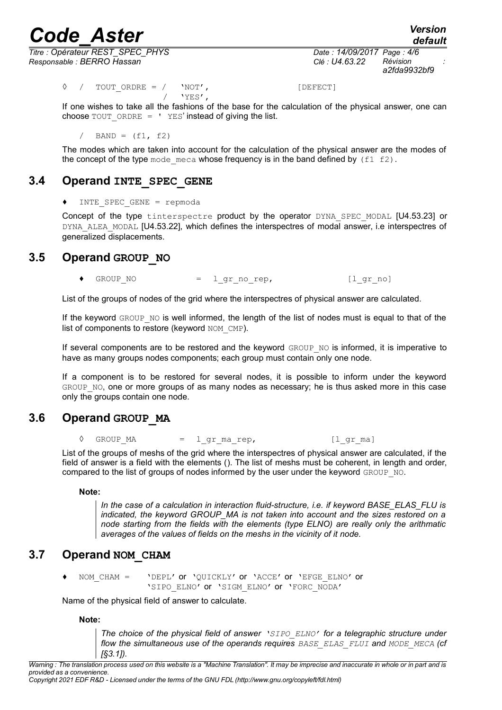*default*

*Titre : Opérateur REST\_SPEC\_PHYS Date : 14/09/2017 Page : 4/6 Responsable : BERRO Hassan Clé : U4.63.22 Révision :*

*a2fda9932bf9*

 $\Diamond$  / TOUT ORDRE = / 'NOT', [DEFECT]  $/$  'YES',

If one wishes to take all the fashions of the base for the calculation of the physical answer, one can choose  $TOUT$  ORDRE =  $'$  YES' instead of giving the list.

 $/$  BAND =  $(f1, f2)$ 

The modes which are taken into account for the calculation of the physical answer are the modes of the concept of the type mode meca whose frequency is in the band defined by  $(f1 f2)$ .

## **3.4 Operand INTE\_SPEC\_GENE**

 $INTER$  SPEC GENE = repmoda

Concept of the type tinterspectre product by the operator DYNA SPEC MODAL [U4.53.23] or DYNA ALEA MODAL [U4.53.22], which defines the interspectres of modal answer, i.e interspectres of generalized displacements.

## **3.5 Operand GROUP\_NO**

 $GROUPNO$  = lgrnorep,  $[l$ grno]

List of the groups of nodes of the grid where the interspectres of physical answer are calculated.

If the keyword GROUP NO is well informed, the length of the list of nodes must is equal to that of the list of components to restore (keyword NOM\_CMP).

If several components are to be restored and the keyword GROUP NO is informed, it is imperative to have as many groups nodes components; each group must contain only one node.

If a component is to be restored for several nodes, it is possible to inform under the keyword GROUP NO, one or more groups of as many nodes as necessary; he is thus asked more in this case only the groups contain one node.

## **3.6 Operand GROUP\_MA**

 $\Diamond$  GROUP MA = lgr marep, [lgr ma]

List of the groups of meshs of the grid where the interspectres of physical answer are calculated, if the field of answer is a field with the elements (). The list of meshs must be coherent, in length and order, compared to the list of groups of nodes informed by the user under the keyword GROUP NO.

**Note:**

*In the case of a calculation in interaction fluid-structure, i.e. if keyword BASE\_ELAS\_FLU is indicated, the keyword GROUP\_MA is not taken into account and the sizes restored on a node starting from the fields with the elements (type ELNO) are really only the arithmatic averages of the values of fields on the meshs in the vicinity of it node.*

## **3.7 Operand NOM\_CHAM**

NOM CHAM = 'DEPL' or 'QUICKLY' or 'ACCE' or 'EFGE\_ELNO' or 'SIPO\_ELNO' or 'SIGM\_ELNO' or 'FORC\_NODA'

Name of the physical field of answer to calculate.

**Note:**

*The choice of the physical field of answer 'SIPO\_ELNO' for a telegraphic structure under flow the simultaneous use of the operands requires BASE\_ELAS\_FLUI and MODE\_MECA (cf [§3.1]).*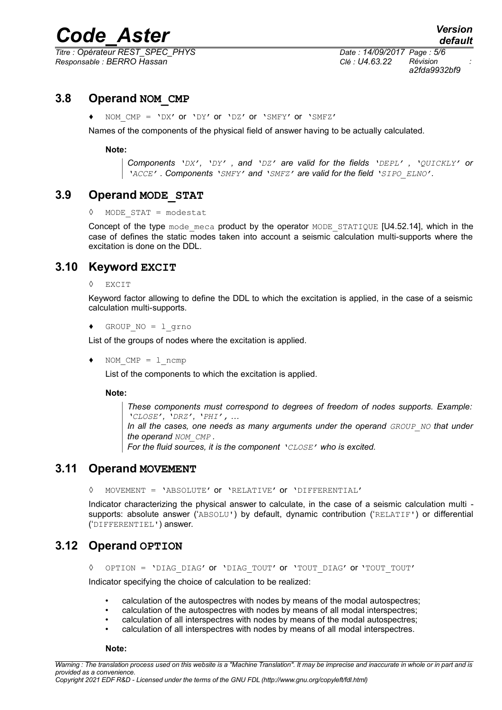*Titre : Opérateur REST\_SPEC\_PHYS Date : 14/09/2017 Page : 5/6 Responsable : BERRO Hassan Clé : U4.63.22 Révision :*

*a2fda9932bf9*

### **3.8 Operand NOM\_CMP**

NOM  $CMP = 'DX'$  or 'DY' or 'DZ' or 'SMFY' or 'SMFZ'

Names of the components of the physical field of answer having to be actually calculated.

#### **Note:**

*Components 'DX', 'DY' , and 'DZ' are valid for the fields 'DEPL' , 'QUICKLY' or 'ACCE' . Components 'SMFY' and 'SMFZ' are valid for the field 'SIPO\_ELNO'.*

#### **3.9 Operand MODE\_STAT**

◊ MODE\_STAT = modestat

Concept of the type mode meca product by the operator MODE STATIQUE  $[U4.52.14]$ , which in the case of defines the static modes taken into account a seismic calculation multi-supports where the excitation is done on the DDL.

#### **3.10 Keyword EXCIT**

◊ EXCIT

Keyword factor allowing to define the DDL to which the excitation is applied, in the case of a seismic calculation multi-supports.

♦ GROUP\_NO = l\_grno

List of the groups of nodes where the excitation is applied.

♦ NOM\_CMP = l\_ncmp

List of the components to which the excitation is applied.

**Note:**

*These components must correspond to degrees of freedom of nodes supports. Example: 'CLOSE', 'DRZ', 'PHI', …*

*In all the cases, one needs as many arguments under the operand GROUP\_NO that under the operand NOM\_CMP .*

*For the fluid sources, it is the component 'CLOSE' who is excited.*

### **3.11 Operand MOVEMENT**

◊ MOVEMENT = 'ABSOLUTE' or 'RELATIVE' or 'DIFFERENTIAL'

Indicator characterizing the physical answer to calculate, in the case of a seismic calculation multi supports: absolute answer ('ABSOLU') by default, dynamic contribution ('RELATIF') or differential ('DIFFERENTIEL') answer.

### **3.12 Operand OPTION**

◊ OPTION = 'DIAG\_DIAG' or 'DIAG\_TOUT' or 'TOUT\_DIAG' or 'TOUT\_TOUT'

Indicator specifying the choice of calculation to be realized:

- calculation of the autospectres with nodes by means of the modal autospectres;
- calculation of the autospectres with nodes by means of all modal interspectres;
- calculation of all interspectres with nodes by means of the modal autospectres;
- calculation of all interspectres with nodes by means of all modal interspectres.

**Note:**